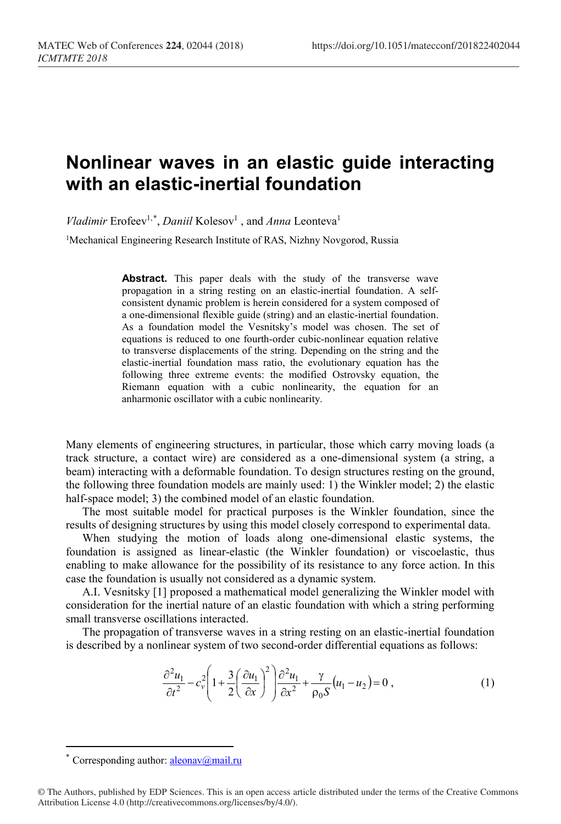## **Nonlinear waves in an elastic guide interacting with an elastic-inertial foundation**

*Vladimir* Erofeev<sup>1,[\\*](#page-0-0)</sup>, *Daniil* Kolesov<sup>1</sup>, and *Anna* Leonteva<sup>1</sup>

<sup>1</sup>Mechanical Engineering Research Institute of RAS, Nizhny Novgorod, Russia

**Abstract.** This paper deals with the study of the transverse wave propagation in a string resting on an elastic-inertial foundation. A selfconsistent dynamic problem is herein considered for a system composed of a one-dimensional flexible guide (string) and an elastic-inertial foundation. As a foundation model the Vesnitsky's model was chosen. The set of equations is reduced to one fourth-order cubic-nonlinear equation relative to transverse displacements of the string. Depending on the string and the elastic-inertial foundation mass ratio, the evolutionary equation has the following three extreme events: the modified Ostrovsky equation, the Riemann equation with a cubic nonlinearity, the equation for an anharmonic oscillator with a cubic nonlinearity.

Many elements of engineering structures, in particular, those which carry moving loads (a track structure, a contact wire) are considered as a one-dimensional system (a string, a beam) interacting with a deformable foundation. To design structures resting on the ground, the following three foundation models are mainly used: 1) the Winkler model; 2) the elastic half-space model; 3) the combined model of an elastic foundation.

The most suitable model for practical purposes is the Winkler foundation, since the results of designing structures by using this model closely correspond to experimental data.

When studying the motion of loads along one-dimensional elastic systems, the foundation is assigned as linear-elastic (the Winkler foundation) or viscoelastic, thus enabling to make allowance for the possibility of its resistance to any force action. In this case the foundation is usually not considered as a dynamic system.

A.I. Vesnitsky [1] proposed a mathematical model generalizing the Winkler model with consideration for the inertial nature of an elastic foundation with which a string performing small transverse oscillations interacted.

The propagation of transverse waves in a string resting on an elastic-inertial foundation is described by a nonlinear system of two second-order differential equations as follows:

$$
\frac{\partial^2 u_1}{\partial t^2} - c_v^2 \left( 1 + \frac{3}{2} \left( \frac{\partial u_1}{\partial x} \right)^2 \right) \frac{\partial^2 u_1}{\partial x^2} + \frac{\gamma}{\rho_0 S} \left( u_1 - u_2 \right) = 0 ,\tag{1}
$$

 $\overline{a}$ 

Corresponding author:  $aleonav@mail.ru$ 

<span id="page-0-0"></span><sup>©</sup> The Authors, published by EDP Sciences. This is an open access article distributed under the terms of the Creative Commons Attribution License 4.0 (http://creativecommons.org/licenses/by/4.0/).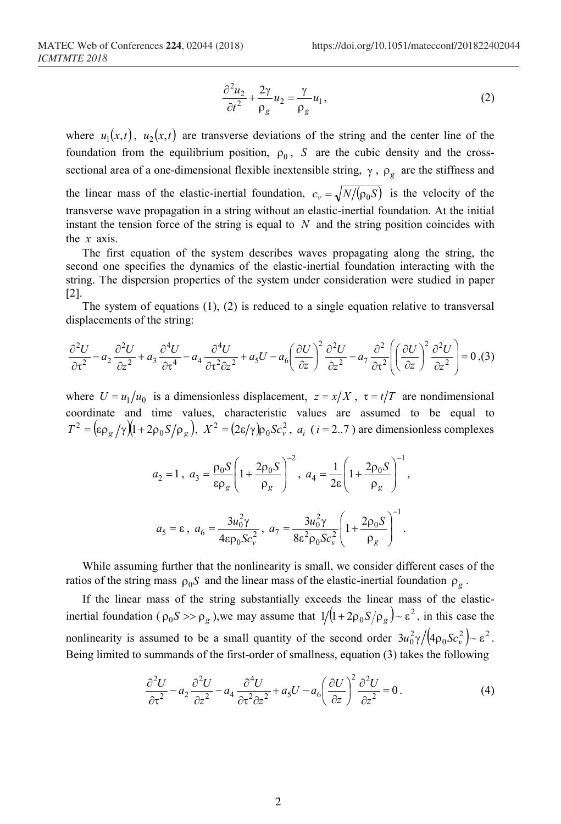$$
\frac{\partial^2 u_2}{\partial t^2} + \frac{2\gamma}{\rho_g} u_2 = \frac{\gamma}{\rho_g} u_1,\tag{2}
$$

where  $u_1(x,t)$ ,  $u_2(x,t)$  are transverse deviations of the string and the center line of the foundation from the equilibrium position,  $\rho_0$ , *S* are the cubic density and the crosssectional area of a one-dimensional flexible inextensible string, γ , ρ*<sup>g</sup>* are the stiffness and the linear mass of the elastic-inertial foundation,  $c_v = \sqrt{N/(\rho_0 S)}$  is the velocity of the transverse wave propagation in a string without an elastic-inertial foundation. At the initial instant the tension force of the string is equal to *N* and the string position coincides with the *x* axis.

The first equation of the system describes waves propagating along the string, the second one specifies the dynamics of the elastic-inertial foundation interacting with the string. The dispersion properties of the system under consideration were studied in paper  $|2|$ .

The system of equations  $(1)$ ,  $(2)$  is reduced to a single equation relative to transversal displacements of the string:

$$
\frac{\partial^2 U}{\partial \tau^2} - a_2 \frac{\partial^2 U}{\partial z^2} + a_3 \frac{\partial^4 U}{\partial \tau^4} - a_4 \frac{\partial^4 U}{\partial \tau^2 \partial z^2} + a_5 U - a_6 \left(\frac{\partial U}{\partial z}\right)^2 \frac{\partial^2 U}{\partial z^2} - a_7 \frac{\partial^2}{\partial \tau^2} \left(\left(\frac{\partial U}{\partial z}\right)^2 \frac{\partial^2 U}{\partial z^2}\right) = 0, \text{(3)}
$$

where  $U = u_1/u_0$  is a dimensionless displacement,  $z = x/X$ ,  $\tau = t/T$  are nondimensional coordinate and time values, characteristic values are assumed to be equal to  $T^2 = (\varepsilon \rho_g / \gamma)(1 + 2 \rho_0 S / \rho_g), X^2 = (2\varepsilon / \gamma) \rho_0 S c_v^2, a_i$  (*i* = 2..7) are dimensionless complexes

$$
a_2 = 1, \ a_3 = \frac{\rho_0 S}{\epsilon \rho_g} \left( 1 + \frac{2 \rho_0 S}{\rho_g} \right)^{-2}, \ a_4 = \frac{1}{2\epsilon} \left( 1 + \frac{2 \rho_0 S}{\rho_g} \right)^{-1},
$$

$$
a_5 = \epsilon, \ a_6 = \frac{3u_0^2 \gamma}{4\epsilon \rho_0 Sc_v^2}, \ a_7 = \frac{3u_0^2 \gamma}{8\epsilon^2 \rho_0 Sc_v^2} \left( 1 + \frac{2\rho_0 S}{\rho_g} \right)^{-1}.
$$

While assuming further that the nonlinearity is small, we consider different cases of the ratios of the string mass  $\rho_0 S$  and the linear mass of the elastic-inertial foundation  $\rho_g$ .

If the linear mass of the string substantially exceeds the linear mass of the elasticinertial foundation ( $\rho_0 S >> \rho_g$ ), we may assume that  $1/(1+2\rho_0 S/\rho_g) \sim \varepsilon^2$ , in this case the nonlinearity is assumed to be a small quantity of the second order  $3u_0^2\gamma/(4\rho_0Sc_v^2) \sim \varepsilon^2$ . Being limited to summands of the first-order of smallness, equation (3) takes the following

$$
\frac{\partial^2 U}{\partial \tau^2} - a_2 \frac{\partial^2 U}{\partial z^2} - a_4 \frac{\partial^4 U}{\partial \tau^2 \partial z^2} + a_5 U - a_6 \left(\frac{\partial U}{\partial z}\right)^2 \frac{\partial^2 U}{\partial z^2} = 0.
$$
 (4)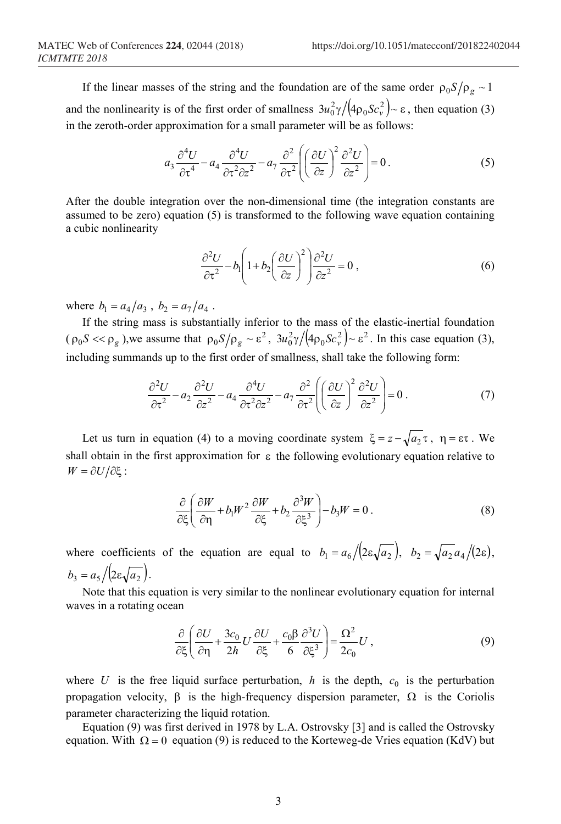If the linear masses of the string and the foundation are of the same order  $\rho_0 S / \rho_\sigma \sim 1$ and the nonlinearity is of the first order of smallness  $3u_0^2\gamma/(4\rho_0Sc_v^2) \sim \varepsilon$ , then equation (3) in the zeroth-order approximation for a small parameter will be as follows:

$$
a_3 \frac{\partial^4 U}{\partial \tau^4} - a_4 \frac{\partial^4 U}{\partial \tau^2 \partial z^2} - a_7 \frac{\partial^2}{\partial \tau^2} \left( \left( \frac{\partial U}{\partial z} \right)^2 \frac{\partial^2 U}{\partial z^2} \right) = 0.
$$
 (5)

After the double integration over the non-dimensional time (the integration constants are assumed to be zero) equation (5) is transformed to the following wave equation containing a cubic nonlinearity

$$
\frac{\partial^2 U}{\partial \tau^2} - b_1 \left( 1 + b_2 \left( \frac{\partial U}{\partial z} \right)^2 \right) \frac{\partial^2 U}{\partial z^2} = 0,
$$
\n(6)

where  $b_1 = a_4/a_3$ ,  $b_2 = a_7/a_4$ .

If the string mass is substantially inferior to the mass of the elastic-inertial foundation  $(\rho_0 S \ll \rho_g)$ , we assume that  $\rho_0 S/\rho_g \sim \varepsilon^2$ ,  $3u_0^2 \gamma/(4\rho_0 S c_v^2) \sim \varepsilon^2$ . In this case equation (3), including summands up to the first order of smallness, shall take the following form:

$$
\frac{\partial^2 U}{\partial \tau^2} - a_2 \frac{\partial^2 U}{\partial z^2} - a_4 \frac{\partial^4 U}{\partial \tau^2 \partial z^2} - a_7 \frac{\partial^2}{\partial \tau^2} \left( \left( \frac{\partial U}{\partial z} \right)^2 \frac{\partial^2 U}{\partial z^2} \right) = 0 \tag{7}
$$

Let us turn in equation (4) to a moving coordinate system  $\xi = z - \sqrt{a_2 \tau}$ ,  $\eta = \varepsilon \tau$ . We shall obtain in the first approximation for  $\varepsilon$  the following evolutionary equation relative to  $W = \partial U / \partial \xi$ :

$$
\frac{\partial}{\partial \xi} \left( \frac{\partial W}{\partial \eta} + b_1 W^2 \frac{\partial W}{\partial \xi} + b_2 \frac{\partial^3 W}{\partial \xi^3} \right) - b_3 W = 0.
$$
 (8)

where coefficients of the equation are equal to  $b_1 = a_6 / (2\varepsilon \sqrt{a_2})$ ,  $b_2 = \sqrt{a_2} a_4 / (2\varepsilon)$ ,  $b_3 = a_5 / (2 \varepsilon \sqrt{a_2}).$ 

Note that this equation is very similar to the nonlinear evolutionary equation for internal waves in a rotating ocean

$$
\frac{\partial}{\partial \xi} \left( \frac{\partial U}{\partial \eta} + \frac{3c_0}{2h} U \frac{\partial U}{\partial \xi} + \frac{c_0 \beta}{6} \frac{\partial^3 U}{\partial \xi^3} \right) = \frac{\Omega^2}{2c_0} U,
$$
\n(9)

where *U* is the free liquid surface perturbation, *h* is the depth,  $c_0$  is the perturbation propagation velocity, β is the high-frequency dispersion parameter,  $\Omega$  is the Coriolis parameter characterizing the liquid rotation.

Equation (9) was first derived in 1978 by L.A. Ostrovsky [3] and is called the Ostrovsky equation. With  $\Omega = 0$  equation (9) is reduced to the Korteweg-de Vries equation (KdV) but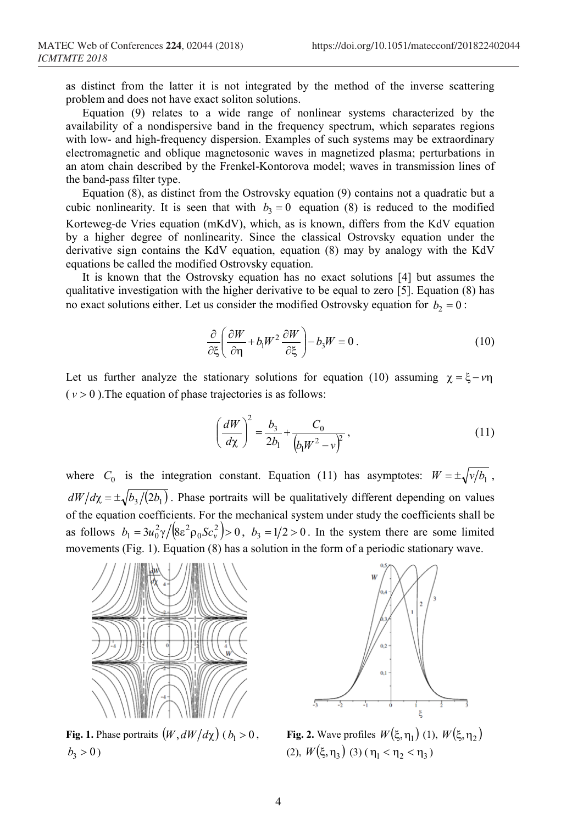as distinct from the latter it is not integrated by the method of the inverse scattering problem and does not have exact soliton solutions.

Equation (9) relates to a wide range of nonlinear systems characterized by the availability of a nondispersive band in the frequency spectrum, which separates regions with low- and high-frequency dispersion. Examples of such systems may be extraordinary electromagnetic and oblique magnetosonic waves in magnetized plasma; perturbations in an atom chain described by the Frenkel-Kontorova model; waves in transmission lines of the band-pass filter type.

Equation (8), as distinct from the Ostrovsky equation (9) contains not a quadratic but a cubic nonlinearity. It is seen that with  $b_3 = 0$  equation (8) is reduced to the modified Korteweg-de Vries equation (mKdV), which, as is known, differs from the KdV equation by a higher degree of nonlinearity. Since the classical Ostrovsky equation under the derivative sign contains the KdV equation, equation (8) may by analogy with the KdV equations be called the modified Ostrovsky equation.

It is known that the Ostrovsky equation has no exact solutions [4] but assumes the qualitative investigation with the higher derivative to be equal to zero [5]. Equation (8) has no exact solutions either. Let us consider the modified Ostrovsky equation for  $b_2 = 0$ :

$$
\frac{\partial}{\partial \xi} \left( \frac{\partial W}{\partial \eta} + b_1 W^2 \frac{\partial W}{\partial \xi} \right) - b_3 W = 0.
$$
 (10)

Let us further analyze the stationary solutions for equation (10) assuming  $\chi = \xi - \nu \eta$  $(v > 0)$ . The equation of phase trajectories is as follows:

$$
\left(\frac{dW}{d\chi}\right)^2 = \frac{b_3}{2b_1} + \frac{C_0}{\left(b_1 W^2 - v\right)^2},\tag{11}
$$

where  $C_0$  is the integration constant. Equation (11) has asymptotes:  $W = \pm \sqrt{\frac{v}{b_1}}$ ,  $dW/d\chi = \pm \sqrt{b_3/(2b_1)}$ . Phase portraits will be qualitatively different depending on values of the equation coefficients. For the mechanical system under study the coefficients shall be as follows  $b_1 = 3u_0^2 \gamma / (8\varepsilon^2 \rho_0 Sc_v^2 > 0$ ,  $b_3 = 1/2 > 0$ . In the system there are some limited movements (Fig. 1). Equation (8) has a solution in the form of a periodic stationary wave.



**Fig. 1.** Phase portraits  $(W, dW/d\chi)$  ( $b_1 > 0$ ,  $b_3 > 0$ )



**Fig. 2.** Wave profiles  $W(\xi, \eta_1)$  (1),  $W(\xi, \eta_2)$ (2),  $W(\xi, \eta_3)$  (3) (  $\eta_1 < \eta_2 < \eta_3$ )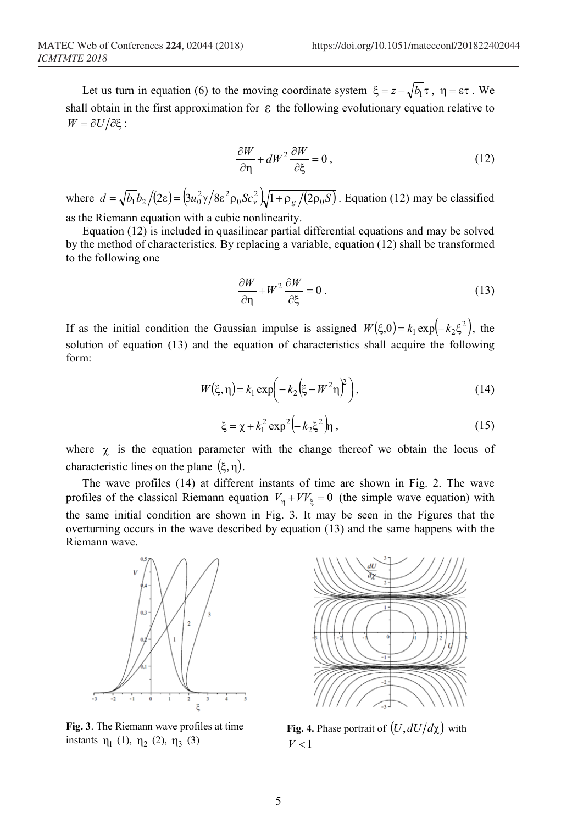Let us turn in equation (6) to the moving coordinate system  $\xi = z - \sqrt{b_1} \tau$ ,  $\eta = \varepsilon \tau$ . We shall obtain in the first approximation for  $\epsilon$  the following evolutionary equation relative to  $W = \partial U / \partial \xi$ :

$$
\frac{\partial W}{\partial \eta} + dW^2 \frac{\partial W}{\partial \xi} = 0, \qquad (12)
$$

where  $d = \sqrt{b_1 b_2}/(2\varepsilon) = (3u_0^2 \gamma/8\varepsilon^2 \rho_0 Sc_v^2)/1 + \rho_g/(2\rho_0 S)$ . Equation (12) may be classified as the Riemann equation with a cubic nonlinearity.

Equation (12) is included in quasilinear partial differential equations and may be solved by the method of characteristics. By replacing a variable, equation (12) shall be transformed to the following one

$$
\frac{\partial W}{\partial \eta} + W^2 \frac{\partial W}{\partial \xi} = 0.
$$
 (13)

If as the initial condition the Gaussian impulse is assigned  $W(\xi,0) = k_1 \exp(-k_2 \xi^2)$ , the solution of equation (13) and the equation of characteristics shall acquire the following form:

$$
W(\xi, \eta) = k_1 \exp\left(-k_2 \left(\xi - W^2 \eta\right)^2\right),\tag{14}
$$

$$
\xi = \chi + k_1^2 \exp^2 \left( -k_2 \xi^2 \right) \eta \,, \tag{15}
$$

where  $\chi$  is the equation parameter with the change thereof we obtain the locus of characteristic lines on the plane  $(\xi, \eta)$ .

The wave profiles (14) at different instants of time are shown in Fig. 2. The wave profiles of the classical Riemann equation  $V_n + V_i = 0$  (the simple wave equation) with the same initial condition are shown in Fig. 3. It may be seen in the Figures that the overturning occurs in the wave described by equation (13) and the same happens with the Riemann wave.



**Fig. 3**. The Riemann wave profiles at time instants  $\eta_1$  (1),  $\eta_2$  (2),  $\eta_3$  (3)



**Fig. 4.** Phase portrait of  $(U, dU/d\chi)$  with  $V < 1$